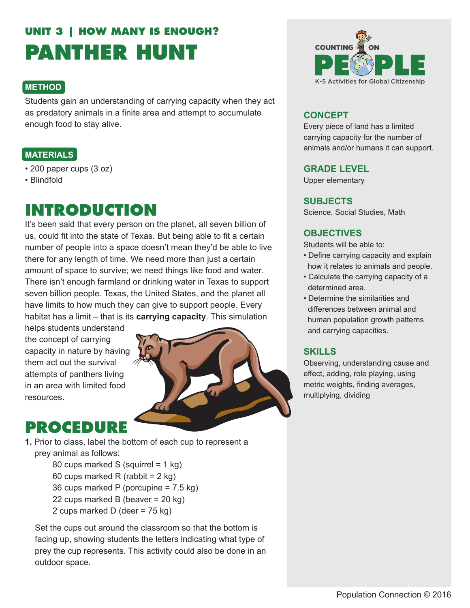# **UNIT 3 | HOW MANY IS ENOUGH? PANTHER HUNT**

### **METHOD**

Students gain an understanding of carrying capacity when they act as predatory animals in a finite area and attempt to accumulate enough food to stay alive.

### **MATERIALS**

- 200 paper cups (3 oz)
- Blindfold

## **INTRODUCTION**

It's been said that every person on the planet, all seven billion of us, could fit into the state of Texas. But being able to fit a certain number of people into a space doesn't mean they'd be able to live there for any length of time. We need more than just a certain amount of space to survive; we need things like food and water. There isn't enough farmland or drinking water in Texas to support seven billion people. Texas, the United States, and the planet all have limits to how much they can give to support people. Every habitat has a limit – that is its **carrying capacity**. This simulation

helps students understand the concept of carrying capacity in nature by having them act out the survival attempts of panthers living in an area with limited food resources.



## **PROCEDURE**

**1.** Prior to class, label the bottom of each cup to represent a prey animal as follows:

> 80 cups marked S (squirrel = 1 kg) 60 cups marked R (rabbit = 2 kg) 36 cups marked P (porcupine = 7.5 kg) 22 cups marked B (beaver = 20 kg) 2 cups marked D (deer = 75 kg)

Set the cups out around the classroom so that the bottom is facing up, showing students the letters indicating what type of prey the cup represents. This activity could also be done in an outdoor space.



### **CONCEPT**

Every piece of land has a limited carrying capacity for the number of animals and/or humans it can support.

#### **GRADE LEVEL**

Upper elementary

#### **SUBJECTS**

Science, Social Studies, Math

#### **OBJECTIVES**

Students will be able to:

- Define carrying capacity and explain how it relates to animals and people.
- Calculate the carrying capacity of a determined area.
- Determine the similarities and differences between animal and human population growth patterns and carrying capacities.

#### **SKILLS**

Observing, understanding cause and effect, adding, role playing, using metric weights, finding averages, multiplying, dividing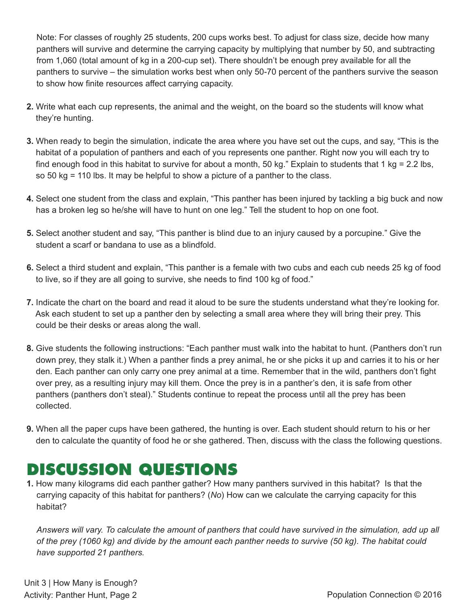Note: For classes of roughly 25 students, 200 cups works best. To adjust for class size, decide how many panthers will survive and determine the carrying capacity by multiplying that number by 50, and subtracting from 1,060 (total amount of kg in a 200-cup set). There shouldn't be enough prey available for all the panthers to survive – the simulation works best when only 50-70 percent of the panthers survive the season to show how finite resources affect carrying capacity.

- **2.** Write what each cup represents, the animal and the weight, on the board so the students will know what they're hunting.
- **3.** When ready to begin the simulation, indicate the area where you have set out the cups, and say, "This is the habitat of a population of panthers and each of you represents one panther. Right now you will each try to find enough food in this habitat to survive for about a month, 50 kg." Explain to students that 1 kg = 2.2 lbs, so 50 kg = 110 lbs. It may be helpful to show a picture of a panther to the class.
- **4.** Select one student from the class and explain, "This panther has been injured by tackling a big buck and now has a broken leg so he/she will have to hunt on one leg." Tell the student to hop on one foot.
- **5.** Select another student and say, "This panther is blind due to an injury caused by a porcupine." Give the student a scarf or bandana to use as a blindfold.
- **6.** Select a third student and explain, "This panther is a female with two cubs and each cub needs 25 kg of food to live, so if they are all going to survive, she needs to find 100 kg of food."
- **7.** Indicate the chart on the board and read it aloud to be sure the students understand what they're looking for. Ask each student to set up a panther den by selecting a small area where they will bring their prey. This could be their desks or areas along the wall.
- **8.** Give students the following instructions: "Each panther must walk into the habitat to hunt. (Panthers don't run down prey, they stalk it.) When a panther finds a prey animal, he or she picks it up and carries it to his or her den. Each panther can only carry one prey animal at a time. Remember that in the wild, panthers don't fight over prey, as a resulting injury may kill them. Once the prey is in a panther's den, it is safe from other panthers (panthers don't steal)." Students continue to repeat the process until all the prey has been collected.
- **9.** When all the paper cups have been gathered, the hunting is over. Each student should return to his or her den to calculate the quantity of food he or she gathered. Then, discuss with the class the following questions.

## **DISCUSSION QUESTIONS**

**1.** How many kilograms did each panther gather? How many panthers survived in this habitat? Is that the carrying capacity of this habitat for panthers? (*No*) How can we calculate the carrying capacity for this habitat?

*Answers will vary. To calculate the amount of panthers that could have survived in the simulation, add up all of the prey (1060 kg) and divide by the amount each panther needs to survive (50 kg). The habitat could have supported 21 panthers.*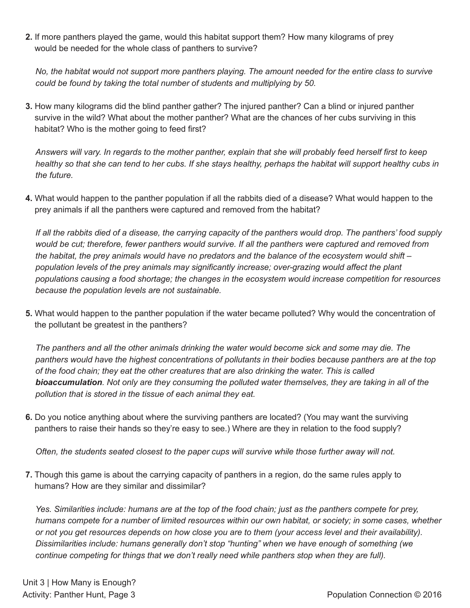**2.** If more panthers played the game, would this habitat support them? How many kilograms of prey would be needed for the whole class of panthers to survive?

*No, the habitat would not support more panthers playing. The amount needed for the entire class to survive could be found by taking the total number of students and multiplying by 50.*

**3.** How many kilograms did the blind panther gather? The injured panther? Can a blind or injured panther survive in the wild? What about the mother panther? What are the chances of her cubs surviving in this habitat? Who is the mother going to feed first?

*Answers will vary. In regards to the mother panther, explain that she will probably feed herself first to keep healthy so that she can tend to her cubs. If she stays healthy, perhaps the habitat will support healthy cubs in the future.*

**4.** What would happen to the panther population if all the rabbits died of a disease? What would happen to the prey animals if all the panthers were captured and removed from the habitat?

*If all the rabbits died of a disease, the carrying capacity of the panthers would drop. The panthers' food supply would be cut; therefore, fewer panthers would survive. If all the panthers were captured and removed from the habitat, the prey animals would have no predators and the balance of the ecosystem would shift – population levels of the prey animals may significantly increase; over-grazing would affect the plant populations causing a food shortage; the changes in the ecosystem would increase competition for resources because the population levels are not sustainable.*

**5.** What would happen to the panther population if the water became polluted? Why would the concentration of the pollutant be greatest in the panthers?

*The panthers and all the other animals drinking the water would become sick and some may die. The panthers would have the highest concentrations of pollutants in their bodies because panthers are at the top of the food chain; they eat the other creatures that are also drinking the water. This is called bioaccumulation. Not only are they consuming the polluted water themselves, they are taking in all of the pollution that is stored in the tissue of each animal they eat.*

**6.** Do you notice anything about where the surviving panthers are located? (You may want the surviving panthers to raise their hands so they're easy to see.) Where are they in relation to the food supply?

*Often, the students seated closest to the paper cups will survive while those further away will not.*

**7.** Though this game is about the carrying capacity of panthers in a region, do the same rules apply to humans? How are they similar and dissimilar?

*Yes. Similarities include: humans are at the top of the food chain; just as the panthers compete for prey, humans compete for a number of limited resources within our own habitat, or society; in some cases, whether or not you get resources depends on how close you are to them (your access level and their availability). Dissimilarities include: humans generally don't stop "hunting" when we have enough of something (we continue competing for things that we don't really need while panthers stop when they are full).*